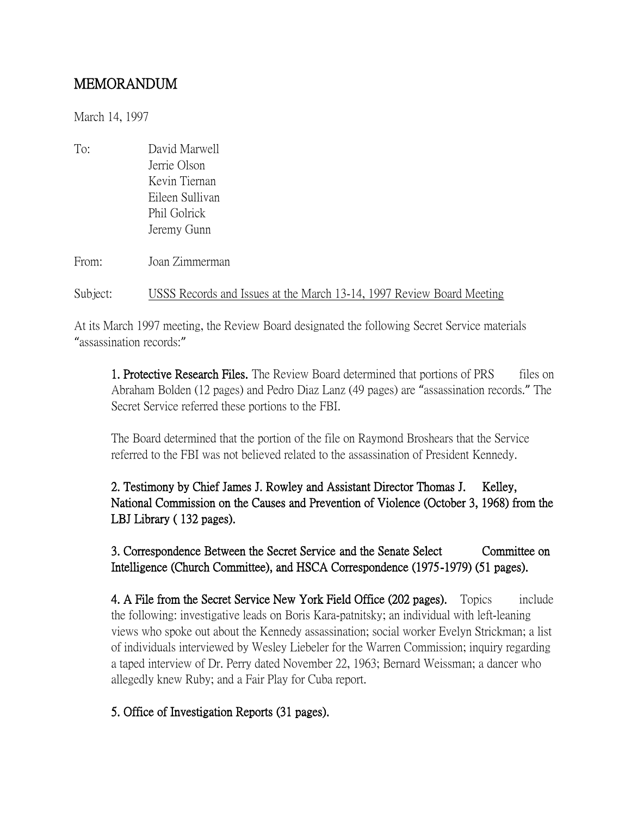## MEMORANDUM

March 14, 1997

To: David Marwell Jerrie Olson Kevin Tiernan Eileen Sullivan Phil Golrick Jeremy Gunn

From: Joan Zimmerman

## Subject: USSS Records and Issues at the March 13-14, 1997 Review Board Meeting

At its March 1997 meeting, the Review Board designated the following Secret Service materials "assassination records:"

1. Protective Research Files. The Review Board determined that portions of PRS files on Abraham Bolden (12 pages) and Pedro Diaz Lanz (49 pages) are "assassination records." The Secret Service referred these portions to the FBI.

The Board determined that the portion of the file on Raymond Broshears that the Service referred to the FBI was not believed related to the assassination of President Kennedy.

2. Testimony by Chief James J. Rowley and Assistant Director Thomas J. Kelley, National Commission on the Causes and Prevention of Violence (October 3, 1968) from the LBJ Library ( 132 pages).

3. Correspondence Between the Secret Service and the Senate Select Committee on Intelligence (Church Committee), and HSCA Correspondence (1975-1979) (51 pages).

4. A File from the Secret Service New York Field Office (202 pages). Topics include the following: investigative leads on Boris Kara-patnitsky; an individual with left-leaning views who spoke out about the Kennedy assassination; social worker Evelyn Strickman; a list of individuals interviewed by Wesley Liebeler for the Warren Commission; inquiry regarding a taped interview of Dr. Perry dated November 22, 1963; Bernard Weissman; a dancer who allegedly knew Ruby; and a Fair Play for Cuba report.

## 5. Office of Investigation Reports (31 pages).